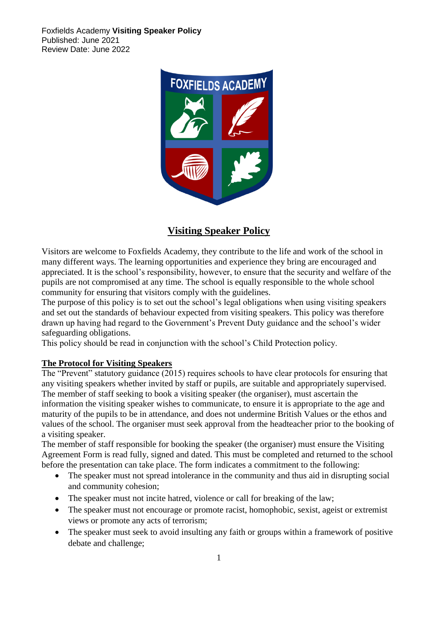Foxfields Academy **Visiting Speaker Policy** Published: June 2021 Review Date: June 2022



## **Visiting Speaker Policy**

Visitors are welcome to Foxfields Academy, they contribute to the life and work of the school in many different ways. The learning opportunities and experience they bring are encouraged and appreciated. It is the school's responsibility, however, to ensure that the security and welfare of the pupils are not compromised at any time. The school is equally responsible to the whole school community for ensuring that visitors comply with the guidelines.

The purpose of this policy is to set out the school's legal obligations when using visiting speakers and set out the standards of behaviour expected from visiting speakers. This policy was therefore drawn up having had regard to the Government's Prevent Duty guidance and the school's wider safeguarding obligations.

This policy should be read in conjunction with the school's Child Protection policy.

## **The Protocol for Visiting Speakers**

The "Prevent" statutory guidance (2015) requires schools to have clear protocols for ensuring that any visiting speakers whether invited by staff or pupils, are suitable and appropriately supervised. The member of staff seeking to book a visiting speaker (the organiser), must ascertain the information the visiting speaker wishes to communicate, to ensure it is appropriate to the age and maturity of the pupils to be in attendance, and does not undermine British Values or the ethos and values of the school. The organiser must seek approval from the headteacher prior to the booking of a visiting speaker.

The member of staff responsible for booking the speaker (the organiser) must ensure the Visiting Agreement Form is read fully, signed and dated. This must be completed and returned to the school before the presentation can take place. The form indicates a commitment to the following:

- The speaker must not spread intolerance in the community and thus aid in disrupting social and community cohesion;
- The speaker must not incite hatred, violence or call for breaking of the law;
- The speaker must not encourage or promote racist, homophobic, sexist, ageist or extremist views or promote any acts of terrorism;
- The speaker must seek to avoid insulting any faith or groups within a framework of positive debate and challenge;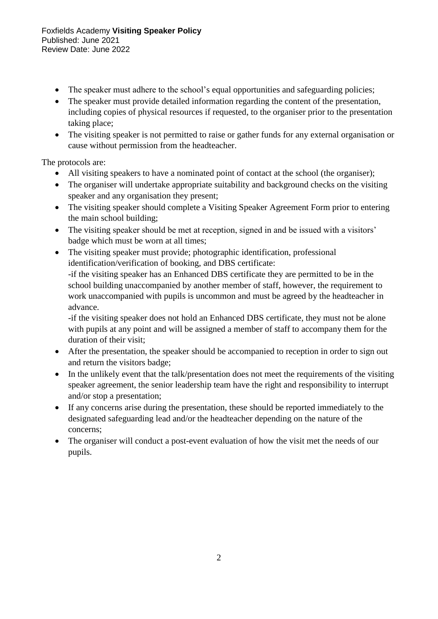- The speaker must adhere to the school's equal opportunities and safeguarding policies;
- The speaker must provide detailed information regarding the content of the presentation, including copies of physical resources if requested, to the organiser prior to the presentation taking place;
- The visiting speaker is not permitted to raise or gather funds for any external organisation or cause without permission from the headteacher.

The protocols are:

- All visiting speakers to have a nominated point of contact at the school (the organiser);
- The organiser will undertake appropriate suitability and background checks on the visiting speaker and any organisation they present;
- The visiting speaker should complete a Visiting Speaker Agreement Form prior to entering the main school building;
- The visiting speaker should be met at reception, signed in and be issued with a visitors' badge which must be worn at all times;
- The visiting speaker must provide; photographic identification, professional identification/verification of booking, and DBS certificate: -if the visiting speaker has an Enhanced DBS certificate they are permitted to be in the school building unaccompanied by another member of staff, however, the requirement to work unaccompanied with pupils is uncommon and must be agreed by the headteacher in advance.

-if the visiting speaker does not hold an Enhanced DBS certificate, they must not be alone with pupils at any point and will be assigned a member of staff to accompany them for the duration of their visit;

- After the presentation, the speaker should be accompanied to reception in order to sign out and return the visitors badge;
- In the unlikely event that the talk/presentation does not meet the requirements of the visiting speaker agreement, the senior leadership team have the right and responsibility to interrupt and/or stop a presentation;
- If any concerns arise during the presentation, these should be reported immediately to the designated safeguarding lead and/or the headteacher depending on the nature of the concerns;
- The organiser will conduct a post-event evaluation of how the visit met the needs of our pupils.